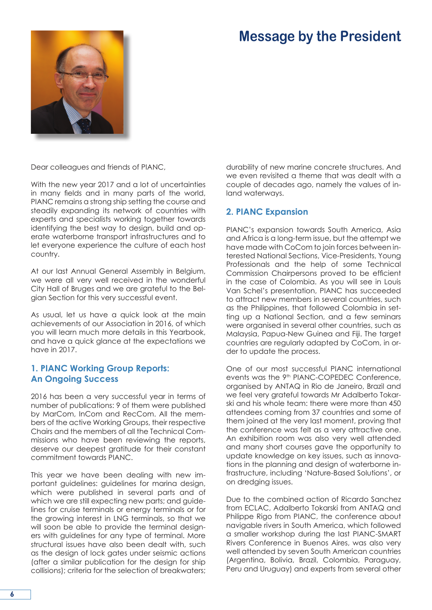## **Message by the President**



Dear colleagues and friends of PIANC,

With the new year 2017 and a lot of uncertainties in many fields and in many parts of the world, PIANC remains a strong ship setting the course and steadily expanding its network of countries with experts and specialists working together towards identifying the best way to design, build and operate waterborne transport infrastructures and to let everyone experience the culture of each host country.

At our last Annual General Assembly in Belgium, we were all very well received in the wonderful City Hall of Bruges and we are grateful to the Belgian Section for this very successful event.

As usual, let us have a quick look at the main achievements of our Association in 2016, of which you will learn much more details in this Yearbook, and have a quick glance at the expectations we have in 2017.

### **1. PIANC Working Group Reports: An Ongoing Success**

2016 has been a very successful year in terms of number of publications: 9 of them were published by MarCom, InCom and RecCom. All the members of the active Working Groups, their respective Chairs and the members of all the Technical Commissions who have been reviewing the reports, deserve our deepest gratitude for their constant commitment towards PIANC.

This year we have been dealing with new important guidelines: guidelines for marina design, which were published in several parts and of which we are still expecting new parts; and guidelines for cruise terminals or energy terminals or for the growing interest in LNG terminals, so that we will soon be able to provide the terminal designers with guidelines for any type of terminal. More structural issues have also been dealt with, such as the design of lock gates under seismic actions (after a similar publication for the design for ship collisions); criteria for the selection of breakwaters; durability of new marine concrete structures. And we even revisited a theme that was dealt with a couple of decades ago, namely the values of inland waterways.

### **2. PIANC Expansion**

PIANC's expansion towards South America, Asia and Africa is a long-term issue, but the attempt we have made with CoCom to join forces between interested National Sections, Vice-Presidents, Young Professionals and the help of some Technical Commission Chairpersons proved to be efficient in the case of Colombia. As you will see in Louis Van Schel's presentation, PIANC has succeeded to attract new members in several countries, such as the Philippines, that followed Colombia in setting up a National Section, and a few seminars were organised in several other countries, such as Malaysia, Papua-New Guinea and Fiji. The target countries are regularly adapted by CoCom, in order to update the process.

One of our most successful PIANC international events was the 9<sup>th</sup> PIANC-COPEDEC Conference, organised by ANTAQ in Rio de Janeiro, Brazil and we feel very grateful towards Mr Adalberto Tokarski and his whole team: there were more than 450 attendees coming from 37 countries and some of them joined at the very last moment, proving that the conference was felt as a very attractive one. An exhibition room was also very well attended and many short courses gave the opportunity to update knowledge on key issues, such as innovations in the planning and design of waterborne infrastructure, including 'Nature-Based Solutions', or on dredging issues.

Due to the combined action of Ricardo Sanchez from ECLAC, Adalberto Tokarski from ANTAQ and Philippe Rigo from PIANC, the conference about navigable rivers in South America, which followed a smaller workshop during the last PIANC-SMART Rivers Conference in Buenos Aires, was also very well attended by seven South American countries (Argentina, Bolivia, Brazil, Colombia, Paraguay, Peru and Uruguay) and experts from several other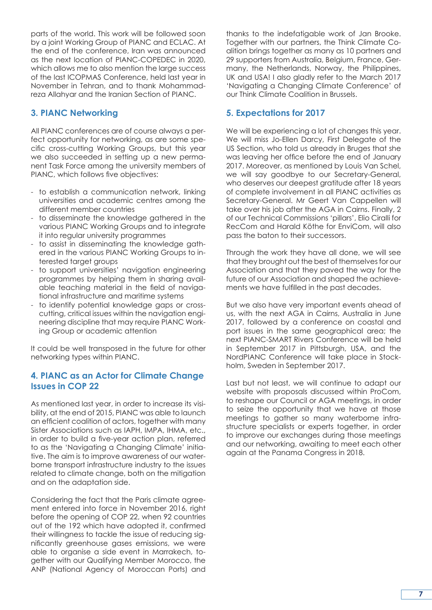parts of the world. This work will be followed soon by a joint Working Group of PIANC and ECLAC. At the end of the conference, Iran was announced as the next location of PIANC-COPEDEC in 2020, which allows me to also mention the large success of the last ICOPMAS Conference, held last year in November in Tehran, and to thank Mohammadreza Allahyar and the Iranian Section of PIANC.

### **3. PIANC Networking**

All PIANC conferences are of course always a perfect opportunity for networking, as are some specific cross-cutting Working Groups, but this year we also succeeded in setting up a new permanent Task Force among the university members of PIANC, which follows five objectives:

- to establish a communication network, linking universities and academic centres among the different member countries
- to disseminate the knowledge gathered in the various PIANC Working Groups and to integrate it into regular university programmes
- to assist in disseminating the knowledge gathered in the various PIANC Working Groups to interested target groups
- to support universities' navigation engineering programmes by helping them in sharing available teaching material in the field of navigational infrastructure and maritime systems
- to identify potential knowledge gaps or crosscutting, critical issues within the navigation engineering discipline that may require PIANC Working Group or academic attention

It could be well transposed in the future for other networking types within PIANC.

### **4. PIANC as an Actor for Climate Change Issues in COP 22**

As mentioned last year, in order to increase its visibility, at the end of 2015, PIANC was able to launch an efficient coalition of actors, together with many Sister Associations such as IAPH, IMPA, IHMA, etc., in order to build a five-year action plan, referred to as the 'Navigating a Changing Climate' initiative. The aim is to improve awareness of our waterborne transport infrastructure industry to the issues related to climate change, both on the mitigation and on the adaptation side.

Considering the fact that the Paris climate agreement entered into force in November 2016, right before the opening of COP 22, when 92 countries out of the 192 which have adopted it, confirmed their willingness to tackle the issue of reducing significantly greenhouse gases emissions, we were able to organise a side event in Marrakech, together with our Qualifying Member Morocco, the ANP (National Agency of Moroccan Ports) and

thanks to the indefatigable work of Jan Brooke. Together with our partners, the Think Climate Coalition brings together as many as 10 partners and 29 supporters from Australia, Belgium, France, Germany, the Netherlands, Norway, the Philippines, UK and USA! I also gladly refer to the March 2017 'Navigating a Changing Climate Conference' of our Think Climate Coalition in Brussels.

### **5. Expectations for 2017**

We will be experiencing a lot of changes this year. We will miss Jo-Ellen Darcy, First Delegate of the US Section, who told us already in Bruges that she was leaving her office before the end of January 2017. Moreover, as mentioned by Louis Van Schel, we will say goodbye to our Secretary-General, who deserves our deepest gratitude after 18 years of complete involvement in all PIANC activities as Secretary-General. Mr Geert Van Cappellen will take over his job after the AGA in Cairns. Finally, 2 of our Technical Commissions 'pillars', Elio Ciralli for RecCom and Harald Köthe for EnviCom, will also pass the baton to their successors.

Through the work they have all done, we will see that they brought out the best of themselves for our Association and that they paved the way for the future of our Association and shaped the achievements we have fulfilled in the past decades.

But we also have very important events ahead of us, with the next AGA in Cairns, Australia in June 2017, followed by a conference on coastal and port issues in the same geographical area; the next PIANC-SMART Rivers Conference will be held in September 2017 in Pittsburgh, USA, and the NordPIANC Conference will take place in Stockholm, Sweden in September 2017.

Last but not least, we will continue to adapt our website with proposals discussed within ProCom, to reshape our Council or AGA meetings, in order to seize the opportunity that we have at those meetings to gather so many waterborne infrastructure specialists or experts together, in order to improve our exchanges during those meetings and our networking, awaiting to meet each other again at the Panama Congress in 2018.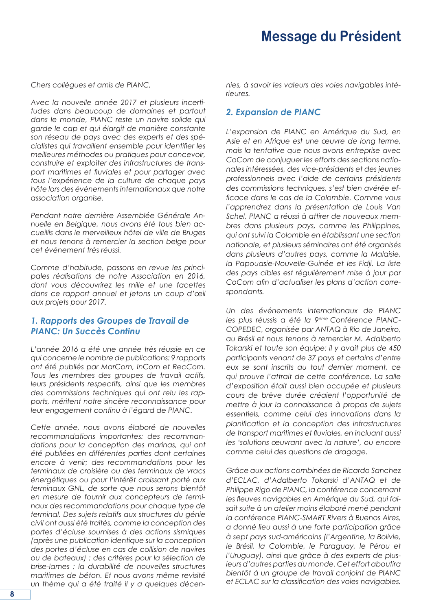# **Message du Président**

*Chers collègues et amis de PIANC,* 

*Avec la nouvelle année 2017 et plusieurs incertitudes dans beaucoup de domaines et partout dans le monde, PIANC reste un navire solide qui garde le cap et qui élargit de manière constante son réseau de pays avec des experts et des spécialistes qui travaillent ensemble pour identifier les meilleures méthodes ou pratiques pour concevoir, construire et exploiter des infrastructures de transport maritimes et fluviales et pour partager avec tous l'expérience de la culture de chaque pays hôte lors des événements internationaux que notre association organise.* 

*Pendant notre dernière Assemblée Générale Annuelle en Belgique, nous avons été tous bien accueillis dans le merveilleux hôtel de ville de Bruges et nous tenons à remercier la section belge pour cet événement très réussi.* 

*Comme d'habitude, passons en revue les principales réalisations de notre Association en 2016, dont vous découvrirez les mille et une facettes dans ce rapport annuel et jetons un coup d'œil aux projets pour 2017.* 

#### *1. Rapports des Groupes de Travail de PIANC: Un Succès Continu*

*L'année 2016 a été une année très réussie en ce qui concerne le nombre de publications: 9 rapports ont été publiés par MarCom, InCom et RecCom. Tous les membres des groupes de travail actifs, leurs présidents respectifs, ainsi que les membres des commissions techniques qui ont relu les rapports, méritent notre sincère reconnaissance pour leur engagement continu à l'égard de PIANC.* 

*Cette année, nous avons élaboré de nouvelles recommandations importantes: des recommandations pour la conception des marinas, qui ont été publiées en différentes parties dont certaines encore à venir; des recommandations pour les terminaux de croisière ou des terminaux de vracs énergétiques ou pour l'intérêt croissant porté aux terminaux GNL, de sorte que nous serons bientôt en mesure de fournir aux concepteurs de terminaux des recommandations pour chaque type de terminal. Des sujets relatifs aux structures du génie civil ont aussi été traités, comme la conception des portes d'écluse soumises à des actions sismiques (après une publication identique sur la conception des portes d'écluse en cas de collision de navires ou de bateaux) ; des critères pour la sélection de brise-lames ; la durabilité de nouvelles structures maritimes de béton. Et nous avons même revisité un thème qui a été traité il y a quelques décen-* *nies, à savoir les valeurs des voies navigables intérieures.* 

#### *2. Expansion de PIANC*

*L'expansion de PIANC en Amérique du Sud, en Asie et en Afrique est une œuvre de long terme, mais la tentative que nous avons entreprise avec CoCom de conjuguer les efforts des sections nationales intéressées, des vice-présidents et des jeunes professionnels avec l'aide de certains présidents des commissions techniques, s'est bien avérée efficace dans le cas de la Colombie. Comme vous l'apprendrez dans la présentation de Louis Van Schel, PIANC a réussi à attirer de nouveaux membres dans plusieurs pays, comme les Philippines, qui ont suivi la Colombie en établissant une section nationale, et plusieurs séminaires ont été organisés dans plusieurs d'autres pays, comme la Malaisie, la Papouasie-Nouvelle-Guinée et les Fidji. La liste des pays cibles est régulièrement mise à jour par CoCom afin d'actualiser les plans d'action correspondants.* 

*Un des événements internationaux de PIANC les plus réussis a été la 9ème Conférence PIANC-COPEDEC, organisée par ANTAQ à Rio de Janeiro, au Brésil et nous tenons à remercier M. Adalberto Tokarski et toute son équipe: il y avait plus de 450 participants venant de 37 pays et certains d'entre eux se sont inscrits au tout dernier moment, ce qui prouve l'attrait de cette conférence. La salle d'exposition était aussi bien occupée et plusieurs cours de brève durée créaient l'opportunité de mettre à jour la connaissance à propos de sujets essentiels, comme celui des innovations dans la planification et la conception des infrastructures de transport maritimes et fluviales, en incluant aussi les 'solutions oeuvrant avec la nature', ou encore comme celui des questions de dragage.* 

*Grâce aux actions combinées de Ricardo Sanchez d'ECLAC, d'Adalberto Tokarski d'ANTAQ et de Philippe Rigo de PIANC, la conférence concernant les fleuves navigables en Amérique du Sud, qui faisait suite à un atelier moins élaboré mené pendant la conférence PIANC-SMART Rivers à Buenos Aires, a donné lieu aussi à une forte participation grâce à sept pays sud-américains (l'Argentine, la Bolivie, le Brésil, la Colombie, le Paraguay, le Pérou et l'Uruguay), ainsi que grâce à des experts de plusieurs d'autres parties du monde. Cet effort aboutira bientôt à un groupe de travail conjoint de PIANC et ECLAC sur la classification des voies navigables.*